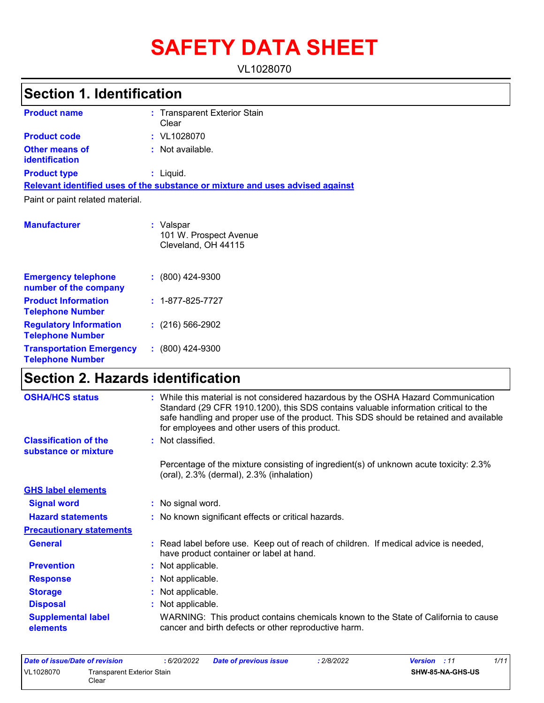# **SAFETY DATA SHEET**

VL1028070

# **Section 1. Identification**

| <b>Product name</b>                     | : Transparent Exterior Stain<br>Clear                                         |  |
|-----------------------------------------|-------------------------------------------------------------------------------|--|
| <b>Product code</b>                     | $:$ VL1028070                                                                 |  |
| <b>Other means of</b><br>identification | : Not available.                                                              |  |
| <b>Product type</b>                     | : Liquid.                                                                     |  |
|                                         | Relevant identified uses of the substance or mixture and uses advised against |  |
| Paint or paint related material.        |                                                                               |  |
| <b>Manufacturer</b>                     | : Valspar<br>101 W. Prospect Avenue<br>Cleveland, OH 44115                    |  |

| <b>Emergency telephone</b><br>number of the company        | $(800)$ 424-9300         |
|------------------------------------------------------------|--------------------------|
| <b>Product Information</b><br><b>Telephone Number</b>      | $: 1 - 877 - 825 - 7727$ |
| <b>Regulatory Information</b><br><b>Telephone Number</b>   | $: (216) 566 - 2902$     |
| <b>Transportation Emergency</b><br><b>Telephone Number</b> | $: (800)$ 424-9300       |

# **Section 2. Hazards identification**

| <b>OSHA/HCS status</b>                               | : While this material is not considered hazardous by the OSHA Hazard Communication<br>Standard (29 CFR 1910.1200), this SDS contains valuable information critical to the<br>safe handling and proper use of the product. This SDS should be retained and available<br>for employees and other users of this product. |
|------------------------------------------------------|-----------------------------------------------------------------------------------------------------------------------------------------------------------------------------------------------------------------------------------------------------------------------------------------------------------------------|
| <b>Classification of the</b><br>substance or mixture | : Not classified.                                                                                                                                                                                                                                                                                                     |
|                                                      | Percentage of the mixture consisting of ingredient(s) of unknown acute toxicity: 2.3%<br>(oral), 2.3% (dermal), 2.3% (inhalation)                                                                                                                                                                                     |
| <b>GHS label elements</b>                            |                                                                                                                                                                                                                                                                                                                       |
| <b>Signal word</b>                                   | : No signal word.                                                                                                                                                                                                                                                                                                     |
| <b>Hazard statements</b>                             | : No known significant effects or critical hazards.                                                                                                                                                                                                                                                                   |
| <b>Precautionary statements</b>                      |                                                                                                                                                                                                                                                                                                                       |
| <b>General</b>                                       | : Read label before use. Keep out of reach of children. If medical advice is needed,<br>have product container or label at hand.                                                                                                                                                                                      |
| <b>Prevention</b>                                    | : Not applicable.                                                                                                                                                                                                                                                                                                     |
| <b>Response</b>                                      | : Not applicable.                                                                                                                                                                                                                                                                                                     |
| <b>Storage</b>                                       | : Not applicable.                                                                                                                                                                                                                                                                                                     |
| <b>Disposal</b>                                      | : Not applicable.                                                                                                                                                                                                                                                                                                     |
| <b>Supplemental label</b><br>elements                | WARNING: This product contains chemicals known to the State of California to cause<br>cancer and birth defects or other reproductive harm.                                                                                                                                                                            |

| Date of issue/Date of revision |                                     | 6/20/2022 | <b>Date of previous issue</b> | : 2/8/2022              | <b>Version</b> : 11 | 1/11 |
|--------------------------------|-------------------------------------|-----------|-------------------------------|-------------------------|---------------------|------|
| VL1028070                      | Transparent Exterior Stain<br>Clear |           |                               | <b>SHW-85-NA-GHS-US</b> |                     |      |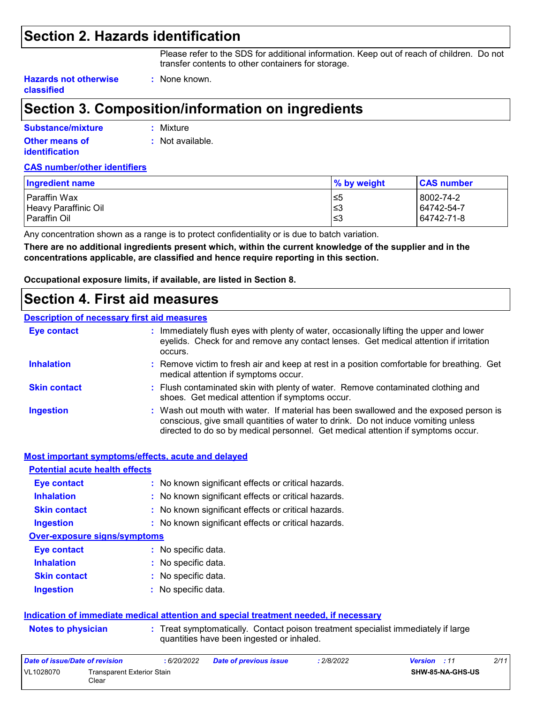### **Section 2. Hazards identification**

Please refer to the SDS for additional information. Keep out of reach of children. Do not transfer contents to other containers for storage.

**Hazards not otherwise classified**

### **Section 3. Composition/information on ingredients**

**:** None known.

| Substance/mixture                              | : Mixture        |
|------------------------------------------------|------------------|
| <b>Other means of</b><br><i>identification</i> | : Not available. |

#### **CAS number/other identifiers**

| Ingredient name      | % by weight | <b>CAS number</b> |
|----------------------|-------------|-------------------|
| I Paraffin Wax       | 1≤5         | 8002-74-2         |
| Heavy Paraffinic Oil | l≤3         | 64742-54-7        |
| l Paraffin Oil       | l≤3         | 64742-71-8        |

Any concentration shown as a range is to protect confidentiality or is due to batch variation.

**There are no additional ingredients present which, within the current knowledge of the supplier and in the concentrations applicable, are classified and hence require reporting in this section.**

**Occupational exposure limits, if available, are listed in Section 8.**

### **Section 4. First aid measures**

#### **Description of necessary first aid measures**

| <b>Eye contact</b>  | Immediately flush eyes with plenty of water, occasionally lifting the upper and lower<br>÷.<br>eyelids. Check for and remove any contact lenses. Get medical attention if irritation<br>occurs.                                                                |
|---------------------|----------------------------------------------------------------------------------------------------------------------------------------------------------------------------------------------------------------------------------------------------------------|
| <b>Inhalation</b>   | : Remove victim to fresh air and keep at rest in a position comfortable for breathing. Get<br>medical attention if symptoms occur.                                                                                                                             |
| <b>Skin contact</b> | : Flush contaminated skin with plenty of water. Remove contaminated clothing and<br>shoes. Get medical attention if symptoms occur.                                                                                                                            |
| <b>Ingestion</b>    | : Wash out mouth with water. If material has been swallowed and the exposed person is<br>conscious, give small quantities of water to drink. Do not induce vomiting unless<br>directed to do so by medical personnel. Get medical attention if symptoms occur. |
|                     | Most important symptoms/effects, acute and delayed                                                                                                                                                                                                             |

| <b>Eye contact</b>                  | : No known significant effects or critical hazards. |
|-------------------------------------|-----------------------------------------------------|
| <b>Inhalation</b>                   | : No known significant effects or critical hazards. |
| <b>Skin contact</b>                 | : No known significant effects or critical hazards. |
| <b>Ingestion</b>                    | : No known significant effects or critical hazards. |
| <b>Over-exposure signs/symptoms</b> |                                                     |
| <b>Eye contact</b>                  | : No specific data.                                 |
| <b>Inhalation</b>                   | : No specific data.                                 |
| <b>Skin contact</b>                 | : No specific data.                                 |
| <b>Ingestion</b>                    | : No specific data.                                 |

#### **Indication of immediate medical attention and special treatment needed, if necessary**

| <b>Notes to physician</b> | : Treat symptomatically. Contact poison treatment specialist immediately if large |  |
|---------------------------|-----------------------------------------------------------------------------------|--|
|                           | quantities have been ingested or inhaled.                                         |  |

| Date of issue/Date of revision |                                     | : 6/20/2022 | <b>Date of previous issue</b> | : 2/8/2022              | <b>Version</b> : 11 | 2/11 |
|--------------------------------|-------------------------------------|-------------|-------------------------------|-------------------------|---------------------|------|
| VL1028070                      | Transparent Exterior Stain<br>Clear |             |                               | <b>SHW-85-NA-GHS-US</b> |                     |      |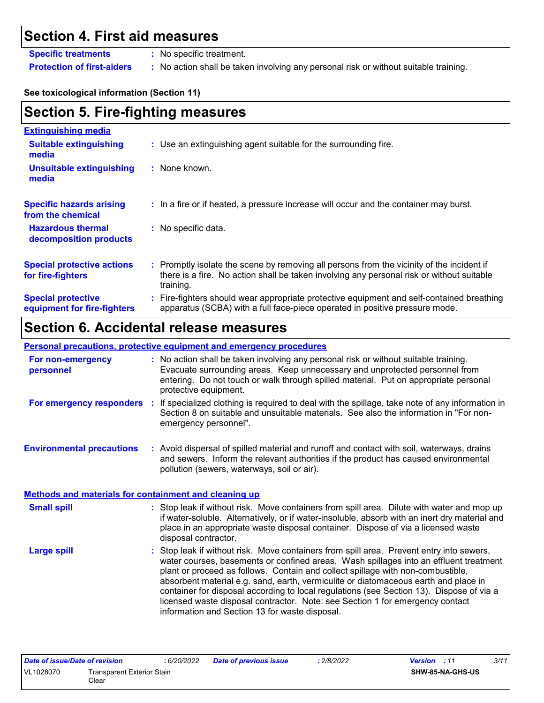### **Section 4. First aid measures**

**Specific treatments :** No specific treatment.

**Protection of first-aiders :** No action shall be taken involving any personal risk or without suitable training.

#### **See toxicological information (Section 11)**

| <b>Section 5. Fire-fighting measures</b>                 |                                                                                                                                                                                                     |  |  |  |
|----------------------------------------------------------|-----------------------------------------------------------------------------------------------------------------------------------------------------------------------------------------------------|--|--|--|
| <b>Extinguishing media</b>                               |                                                                                                                                                                                                     |  |  |  |
| <b>Suitable extinguishing</b><br>media                   | : Use an extinguishing agent suitable for the surrounding fire.                                                                                                                                     |  |  |  |
| <b>Unsuitable extinguishing</b><br>media                 | : None known.                                                                                                                                                                                       |  |  |  |
| <b>Specific hazards arising</b><br>from the chemical     | : In a fire or if heated, a pressure increase will occur and the container may burst.                                                                                                               |  |  |  |
| <b>Hazardous thermal</b><br>decomposition products       | : No specific data.                                                                                                                                                                                 |  |  |  |
| <b>Special protective actions</b><br>for fire-fighters   | : Promptly isolate the scene by removing all persons from the vicinity of the incident if<br>there is a fire. No action shall be taken involving any personal risk or without suitable<br>training. |  |  |  |
| <b>Special protective</b><br>equipment for fire-fighters | : Fire-fighters should wear appropriate protective equipment and self-contained breathing<br>apparatus (SCBA) with a full face-piece operated in positive pressure mode.                            |  |  |  |

### **Section 6. Accidental release measures**

#### **Personal precautions, protective equipment and emergency procedures**

| For non-emergency<br>personnel                               | : No action shall be taken involving any personal risk or without suitable training.<br>Evacuate surrounding areas. Keep unnecessary and unprotected personnel from<br>entering. Do not touch or walk through spilled material. Put on appropriate personal<br>protective equipment.                                                                                                                                                                                                                                                                                                       |
|--------------------------------------------------------------|--------------------------------------------------------------------------------------------------------------------------------------------------------------------------------------------------------------------------------------------------------------------------------------------------------------------------------------------------------------------------------------------------------------------------------------------------------------------------------------------------------------------------------------------------------------------------------------------|
|                                                              | For emergency responders : If specialized clothing is required to deal with the spillage, take note of any information in<br>Section 8 on suitable and unsuitable materials. See also the information in "For non-<br>emergency personnel".                                                                                                                                                                                                                                                                                                                                                |
| <b>Environmental precautions</b>                             | : Avoid dispersal of spilled material and runoff and contact with soil, waterways, drains<br>and sewers. Inform the relevant authorities if the product has caused environmental<br>pollution (sewers, waterways, soil or air).                                                                                                                                                                                                                                                                                                                                                            |
| <b>Methods and materials for containment and cleaning up</b> |                                                                                                                                                                                                                                                                                                                                                                                                                                                                                                                                                                                            |
| <b>Small spill</b>                                           | : Stop leak if without risk. Move containers from spill area. Dilute with water and mop up<br>if water-soluble. Alternatively, or if water-insoluble, absorb with an inert dry material and<br>place in an appropriate waste disposal container. Dispose of via a licensed waste<br>disposal contractor.                                                                                                                                                                                                                                                                                   |
| <b>Large spill</b>                                           | : Stop leak if without risk. Move containers from spill area. Prevent entry into sewers,<br>water courses, basements or confined areas. Wash spillages into an effluent treatment<br>plant or proceed as follows. Contain and collect spillage with non-combustible,<br>absorbent material e.g. sand, earth, vermiculite or diatomaceous earth and place in<br>container for disposal according to local regulations (see Section 13). Dispose of via a<br>licensed waste disposal contractor. Note: see Section 1 for emergency contact<br>information and Section 13 for waste disposal. |

| Date of issue/Date of revision          |  | 6/20/2022 | <b>Date of previous issue</b> | 2/8/2022         | <b>Version</b> : 11 | 3/11 |
|-----------------------------------------|--|-----------|-------------------------------|------------------|---------------------|------|
| VL1028070<br>Transparent Exterior Stain |  |           |                               | SHW-85-NA-GHS-US |                     |      |
| Clear                                   |  |           |                               |                  |                     |      |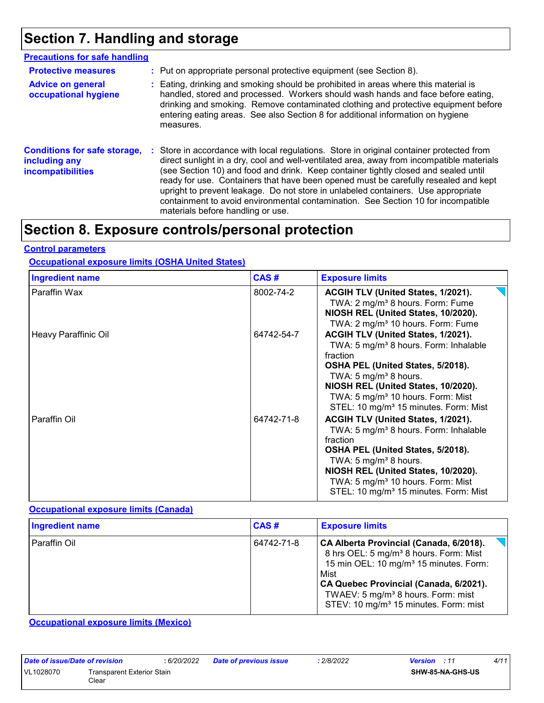# **Section 7. Handling and storage**

| <b>Precautions for safe handling</b>                                             |   |                                                                                                                                                                                                                                                                                                                                                                                                                                                                                                                                                                                  |
|----------------------------------------------------------------------------------|---|----------------------------------------------------------------------------------------------------------------------------------------------------------------------------------------------------------------------------------------------------------------------------------------------------------------------------------------------------------------------------------------------------------------------------------------------------------------------------------------------------------------------------------------------------------------------------------|
| <b>Protective measures</b>                                                       |   | : Put on appropriate personal protective equipment (see Section 8).                                                                                                                                                                                                                                                                                                                                                                                                                                                                                                              |
| <b>Advice on general</b><br>occupational hygiene                                 |   | Eating, drinking and smoking should be prohibited in areas where this material is<br>handled, stored and processed. Workers should wash hands and face before eating,<br>drinking and smoking. Remove contaminated clothing and protective equipment before<br>entering eating areas. See also Section 8 for additional information on hygiene<br>measures.                                                                                                                                                                                                                      |
| <b>Conditions for safe storage,</b><br>including any<br><b>incompatibilities</b> | ÷ | Store in accordance with local regulations. Store in original container protected from<br>direct sunlight in a dry, cool and well-ventilated area, away from incompatible materials<br>(see Section 10) and food and drink. Keep container tightly closed and sealed until<br>ready for use. Containers that have been opened must be carefully resealed and kept<br>upright to prevent leakage. Do not store in unlabeled containers. Use appropriate<br>containment to avoid environmental contamination. See Section 10 for incompatible<br>materials before handling or use. |

### **Section 8. Exposure controls/personal protection**

#### **Control parameters**

**Occupational exposure limits (OSHA United States)**

| <b>Ingredient name</b> | CAS#                                                                                                                                                                                                                                                                                                                                                                                                                                                                           | <b>Exposure limits</b>                                                                                                                                                                                                                                                                                                     |
|------------------------|--------------------------------------------------------------------------------------------------------------------------------------------------------------------------------------------------------------------------------------------------------------------------------------------------------------------------------------------------------------------------------------------------------------------------------------------------------------------------------|----------------------------------------------------------------------------------------------------------------------------------------------------------------------------------------------------------------------------------------------------------------------------------------------------------------------------|
| Paraffin Wax           | 8002-74-2<br>ACGIH TLV (United States, 1/2021).<br>TWA: 2 mg/m <sup>3</sup> 8 hours. Form: Fume<br>NIOSH REL (United States, 10/2020).<br>TWA: 2 mg/m <sup>3</sup> 10 hours. Form: Fume<br>ACGIH TLV (United States, 1/2021).<br>64742-54-7<br>TWA: 5 mg/m <sup>3</sup> 8 hours. Form: Inhalable<br>fraction<br>OSHA PEL (United States, 5/2018).<br>TWA: 5 mg/m <sup>3</sup> 8 hours.<br>NIOSH REL (United States, 10/2020).<br>TWA: 5 mg/m <sup>3</sup> 10 hours. Form: Mist |                                                                                                                                                                                                                                                                                                                            |
| Heavy Paraffinic Oil   |                                                                                                                                                                                                                                                                                                                                                                                                                                                                                | STEL: 10 mg/m <sup>3</sup> 15 minutes. Form: Mist                                                                                                                                                                                                                                                                          |
| Paraffin Oil           | 64742-71-8                                                                                                                                                                                                                                                                                                                                                                                                                                                                     | ACGIH TLV (United States, 1/2021).<br>TWA: 5 mg/m <sup>3</sup> 8 hours. Form: Inhalable<br>fraction<br>OSHA PEL (United States, 5/2018).<br>TWA: 5 mg/m <sup>3</sup> 8 hours.<br>NIOSH REL (United States, 10/2020).<br>TWA: 5 mg/m <sup>3</sup> 10 hours. Form: Mist<br>STEL: 10 mg/m <sup>3</sup> 15 minutes. Form: Mist |

#### **Occupational exposure limits (Canada)**

| <b>Ingredient name</b> | CAS#       | <b>Exposure limits</b>                                                                                                                                                                                                                                                                                       |
|------------------------|------------|--------------------------------------------------------------------------------------------------------------------------------------------------------------------------------------------------------------------------------------------------------------------------------------------------------------|
| Paraffin Oil           | 64742-71-8 | CA Alberta Provincial (Canada, 6/2018).<br>8 hrs OEL: 5 mg/m <sup>3</sup> 8 hours. Form: Mist<br>15 min OEL: 10 mg/m <sup>3</sup> 15 minutes. Form:<br>Mist<br>CA Quebec Provincial (Canada, 6/2021).<br>TWAEV: 5 mg/m <sup>3</sup> 8 hours. Form: mist<br>STEV: 10 mg/m <sup>3</sup> 15 minutes. Form: mist |

**Occupational exposure limits (Mexico)**

| Date of issue/Date of revision |                                     | : 6/20/2022 | <b>Date of previous issue</b> | 2/8/2022 | <b>Version</b> : 11     | 4/11 |
|--------------------------------|-------------------------------------|-------------|-------------------------------|----------|-------------------------|------|
| VL1028070                      | Transparent Exterior Stain<br>Clear |             |                               |          | <b>SHW-85-NA-GHS-US</b> |      |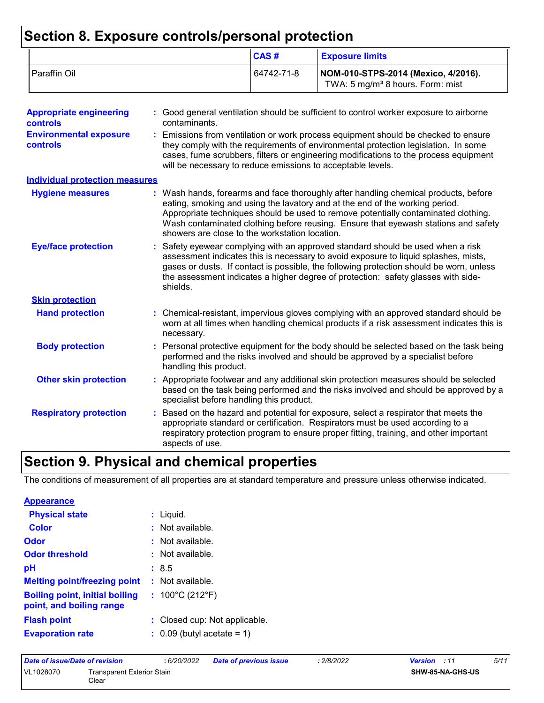# **Section 8. Exposure controls/personal protection**

|                | CAS#       | <b>Exposure limits</b>                                                              |
|----------------|------------|-------------------------------------------------------------------------------------|
| l Paraffin Oil | 64742-71-8 | NOM-010-STPS-2014 (Mexico, 4/2016).<br>TWA: 5 mg/m <sup>3</sup> 8 hours. Form: mist |

| <b>Appropriate engineering</b><br><b>controls</b> | Good general ventilation should be sufficient to control worker exposure to airborne<br>contaminants.                                                                                                                                                                                                                                                                                           |
|---------------------------------------------------|-------------------------------------------------------------------------------------------------------------------------------------------------------------------------------------------------------------------------------------------------------------------------------------------------------------------------------------------------------------------------------------------------|
| <b>Environmental exposure</b><br><b>controls</b>  | Emissions from ventilation or work process equipment should be checked to ensure<br>they comply with the requirements of environmental protection legislation. In some<br>cases, fume scrubbers, filters or engineering modifications to the process equipment<br>will be necessary to reduce emissions to acceptable levels.                                                                   |
| <b>Individual protection measures</b>             |                                                                                                                                                                                                                                                                                                                                                                                                 |
| <b>Hygiene measures</b>                           | Wash hands, forearms and face thoroughly after handling chemical products, before<br>eating, smoking and using the lavatory and at the end of the working period.<br>Appropriate techniques should be used to remove potentially contaminated clothing.<br>Wash contaminated clothing before reusing. Ensure that eyewash stations and safety<br>showers are close to the workstation location. |
| <b>Eye/face protection</b>                        | Safety eyewear complying with an approved standard should be used when a risk<br>assessment indicates this is necessary to avoid exposure to liquid splashes, mists,<br>gases or dusts. If contact is possible, the following protection should be worn, unless<br>the assessment indicates a higher degree of protection: safety glasses with side-<br>shields.                                |
| <b>Skin protection</b>                            |                                                                                                                                                                                                                                                                                                                                                                                                 |
| <b>Hand protection</b>                            | Chemical-resistant, impervious gloves complying with an approved standard should be<br>worn at all times when handling chemical products if a risk assessment indicates this is<br>necessary.                                                                                                                                                                                                   |
| <b>Body protection</b>                            | Personal protective equipment for the body should be selected based on the task being<br>performed and the risks involved and should be approved by a specialist before<br>handling this product.                                                                                                                                                                                               |
| <b>Other skin protection</b>                      | Appropriate footwear and any additional skin protection measures should be selected<br>based on the task being performed and the risks involved and should be approved by a<br>specialist before handling this product.                                                                                                                                                                         |
| <b>Respiratory protection</b>                     | Based on the hazard and potential for exposure, select a respirator that meets the<br>appropriate standard or certification. Respirators must be used according to a<br>respiratory protection program to ensure proper fitting, training, and other important<br>aspects of use.                                                                                                               |

### **Section 9. Physical and chemical properties**

The conditions of measurement of all properties are at standard temperature and pressure unless otherwise indicated.

| <b>Appearance</b>                                                 |                                       |
|-------------------------------------------------------------------|---------------------------------------|
| <b>Physical state</b>                                             | : Liquid.                             |
| <b>Color</b>                                                      | $:$ Not available.                    |
| Odor                                                              | $:$ Not available.                    |
| <b>Odor threshold</b>                                             | : Not available.                      |
| рH                                                                | : 8.5                                 |
| <b>Melting point/freezing point : Not available.</b>              |                                       |
| <b>Boiling point, initial boiling</b><br>point, and boiling range | : $100^{\circ}$ C (212 $^{\circ}$ F)  |
| <b>Flash point</b>                                                | : Closed cup: Not applicable.         |
| <b>Evaporation rate</b>                                           | $\therefore$ 0.09 (butyl acetate = 1) |

| Date of issue/Date of revision |                                     | : 6/20/2022 | <b>Date of previous issue</b> | : 2/8/2022 | <b>Version</b> : 11     | 5/11 |
|--------------------------------|-------------------------------------|-------------|-------------------------------|------------|-------------------------|------|
| VL1028070                      | Transparent Exterior Stain<br>Clear |             |                               |            | <b>SHW-85-NA-GHS-US</b> |      |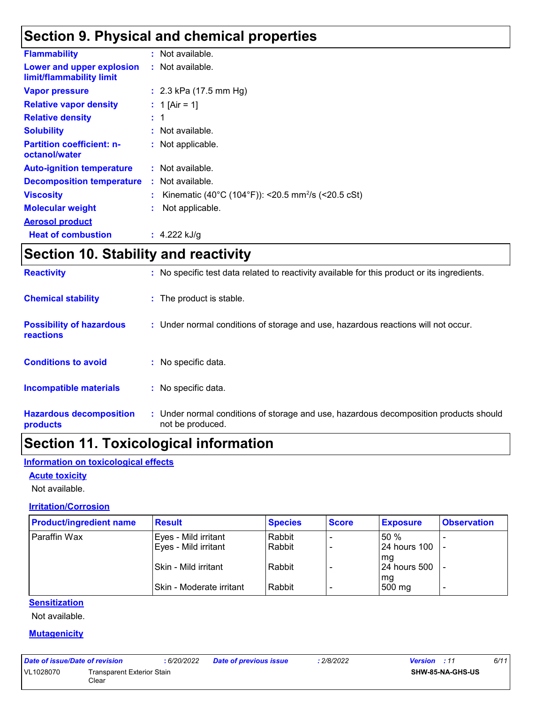### **Section 9. Physical and chemical properties**

| <b>Flammability</b>                                   | : Not available.                                                 |
|-------------------------------------------------------|------------------------------------------------------------------|
| Lower and upper explosion<br>limit/flammability limit | : Not available.                                                 |
| <b>Vapor pressure</b>                                 | : $2.3$ kPa (17.5 mm Hg)                                         |
| <b>Relative vapor density</b>                         | : 1 [Air = 1]                                                    |
| <b>Relative density</b>                               | : 1                                                              |
| <b>Solubility</b>                                     | : Not available.                                                 |
| <b>Partition coefficient: n-</b><br>octanol/water     | : Not applicable.                                                |
| <b>Auto-ignition temperature</b>                      | : Not available.                                                 |
| <b>Decomposition temperature</b>                      | : Not available.                                                 |
| <b>Viscosity</b>                                      | : Kinematic (40°C (104°F)): <20.5 mm <sup>2</sup> /s (<20.5 cSt) |
| <b>Molecular weight</b>                               | Not applicable.                                                  |
| <b>Aerosol product</b>                                |                                                                  |
| <b>Heat of combustion</b>                             | : $4.222$ kJ/g                                                   |

## **Section 10. Stability and reactivity**

| <b>Reactivity</b>                            | : No specific test data related to reactivity available for this product or its ingredients.              |
|----------------------------------------------|-----------------------------------------------------------------------------------------------------------|
| <b>Chemical stability</b>                    | : The product is stable.                                                                                  |
| <b>Possibility of hazardous</b><br>reactions | : Under normal conditions of storage and use, hazardous reactions will not occur.                         |
| <b>Conditions to avoid</b>                   | : No specific data.                                                                                       |
| <b>Incompatible materials</b>                | : No specific data.                                                                                       |
| <b>Hazardous decomposition</b><br>products   | : Under normal conditions of storage and use, hazardous decomposition products should<br>not be produced. |

# **Section 11. Toxicological information**

### **Information on toxicological effects**

#### **Acute toxicity**

Not available.

#### **Irritation/Corrosion**

| <b>Product/ingredient name</b> | <b>Result</b>            | <b>Species</b> | <b>Score</b> | <b>Exposure</b>       | <b>Observation</b> |
|--------------------------------|--------------------------|----------------|--------------|-----------------------|--------------------|
| Paraffin Wax                   | Eyes - Mild irritant     | Rabbit         |              | 50%                   |                    |
|                                | Eyes - Mild irritant     | Rabbit         |              | 24 hours 100          |                    |
|                                | Skin - Mild irritant     | Rabbit         |              | l ma<br>124 hours 500 |                    |
|                                | Skin - Moderate irritant | Rabbit         |              | l mg<br>500 mg        |                    |

#### **Sensitization**

Not available.

#### **Mutagenicity**

| Date of issue/Date of revision |                                            | 6/20/2022 | <b>Date of previous issue</b> | 2/8/2022 | <b>Version</b> : 11 |                         | 6/11 |
|--------------------------------|--------------------------------------------|-----------|-------------------------------|----------|---------------------|-------------------------|------|
| VL1028070                      | <b>Transparent Exterior Stain</b><br>Clear |           |                               |          |                     | <b>SHW-85-NA-GHS-US</b> |      |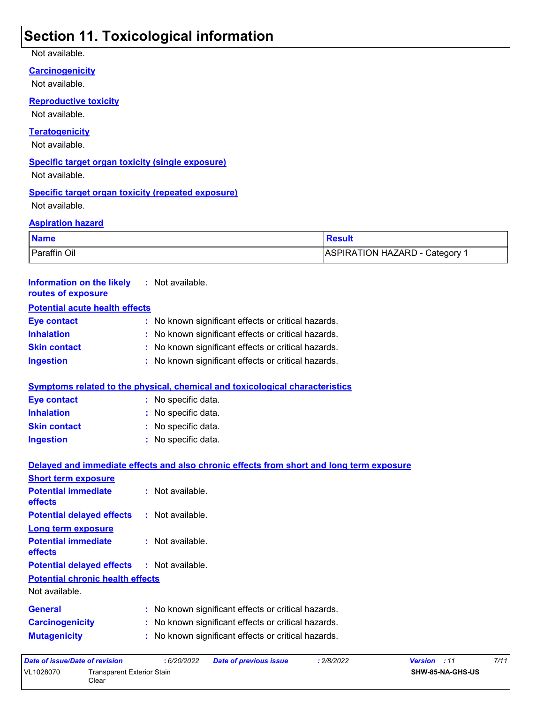### **Section 11. Toxicological information**

#### Not available.

**Carcinogenicity**

Not available.

**Reproductive toxicity**

Not available.

#### **Teratogenicity**

Not available.

#### **Specific target organ toxicity (single exposure)**

Not available.

### **Specific target organ toxicity (repeated exposure)**

Not available.

#### **Aspiration hazard**

VL1028070 Transparent Exterior Stain Clear<sup>1</sup>

| <b>Name</b>  | <b>Result</b>                |
|--------------|------------------------------|
| Paraffin Oil | ASPIRATION HAZARD - Category |

| <b>Information on the likely</b><br>routes of exposure |                                                     | : Not available.                                                                         |  |  |  |  |  |  |
|--------------------------------------------------------|-----------------------------------------------------|------------------------------------------------------------------------------------------|--|--|--|--|--|--|
| <b>Potential acute health effects</b>                  |                                                     |                                                                                          |  |  |  |  |  |  |
| <b>Eye contact</b>                                     |                                                     | : No known significant effects or critical hazards.                                      |  |  |  |  |  |  |
| <b>Inhalation</b>                                      |                                                     | No known significant effects or critical hazards.                                        |  |  |  |  |  |  |
| <b>Skin contact</b>                                    |                                                     | : No known significant effects or critical hazards.                                      |  |  |  |  |  |  |
| <b>Ingestion</b>                                       | : No known significant effects or critical hazards. |                                                                                          |  |  |  |  |  |  |
|                                                        |                                                     | <b>Symptoms related to the physical, chemical and toxicological characteristics</b>      |  |  |  |  |  |  |
| <b>Eye contact</b>                                     |                                                     | : No specific data.                                                                      |  |  |  |  |  |  |
| <b>Inhalation</b>                                      |                                                     | : No specific data.                                                                      |  |  |  |  |  |  |
| <b>Skin contact</b>                                    |                                                     | No specific data.                                                                        |  |  |  |  |  |  |
| <b>Ingestion</b>                                       |                                                     | : No specific data.                                                                      |  |  |  |  |  |  |
|                                                        |                                                     | Delayed and immediate effects and also chronic effects from short and long term exposure |  |  |  |  |  |  |
| <b>Short term exposure</b>                             |                                                     |                                                                                          |  |  |  |  |  |  |
| <b>Potential immediate</b><br>effects                  |                                                     | : Not available.                                                                         |  |  |  |  |  |  |
| <b>Potential delayed effects</b>                       |                                                     | : Not available.                                                                         |  |  |  |  |  |  |
| <b>Long term exposure</b>                              |                                                     |                                                                                          |  |  |  |  |  |  |
| <b>Potential immediate</b><br>effects                  |                                                     | : Not available.                                                                         |  |  |  |  |  |  |
| <b>Potential delayed effects</b>                       |                                                     | : Not available.                                                                         |  |  |  |  |  |  |
| <b>Potential chronic health effects</b>                |                                                     |                                                                                          |  |  |  |  |  |  |
| Not available.                                         |                                                     |                                                                                          |  |  |  |  |  |  |
| <b>General</b>                                         |                                                     | No known significant effects or critical hazards.                                        |  |  |  |  |  |  |
| <b>Carcinogenicity</b>                                 | : No known significant effects or critical hazards. |                                                                                          |  |  |  |  |  |  |
| <b>Mutagenicity</b>                                    |                                                     | : No known significant effects or critical hazards.                                      |  |  |  |  |  |  |
| <b>Date of issue/Date of revision</b>                  |                                                     | : 6/20/2022<br>: 2/8/2022<br>7/11<br><b>Date of previous issue</b><br>Version : 11       |  |  |  |  |  |  |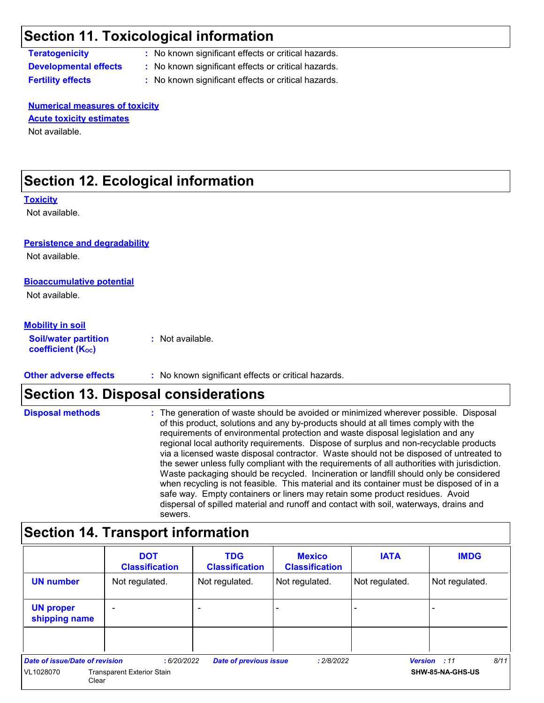### **Section 11. Toxicological information**

**Teratogenicity** : No known significant effects or critical hazards.

**Developmental effects :** No known significant effects or critical hazards.

**Fertility effects :** No known significant effects or critical hazards.

**Numerical measures of toxicity** Not available. **Acute toxicity estimates**

# **Section 12. Ecological information**

#### **Toxicity**

Not available.

#### **Persistence and degradability**

Not available.

#### **Bioaccumulative potential**

Not available.

#### **Mobility in soil**

**Soil/water partition coefficient (Koc)** 

**:** Not available.

#### **Other adverse effects** : No known significant effects or critical hazards.

### **Section 13. Disposal considerations**

The generation of waste should be avoided or minimized wherever possible. Disposal of this product, solutions and any by-products should at all times comply with the requirements of environmental protection and waste disposal legislation and any regional local authority requirements. Dispose of surplus and non-recyclable products via a licensed waste disposal contractor. Waste should not be disposed of untreated to the sewer unless fully compliant with the requirements of all authorities with jurisdiction. Waste packaging should be recycled. Incineration or landfill should only be considered when recycling is not feasible. This material and its container must be disposed of in a safe way. Empty containers or liners may retain some product residues. Avoid dispersal of spilled material and runoff and contact with soil, waterways, drains and sewers. **Disposal methods :**

### **Section 14. Transport information**

|                                   | <b>DOT</b><br><b>Classification</b>        | <b>TDG</b><br><b>Classification</b> | <b>Mexico</b><br><b>Classification</b> | <b>IATA</b>              | <b>IMDG</b>          |
|-----------------------------------|--------------------------------------------|-------------------------------------|----------------------------------------|--------------------------|----------------------|
| <b>UN number</b>                  | Not regulated.                             | Not regulated.                      | Not regulated.                         | Not regulated.           | Not regulated.       |
| <b>UN proper</b><br>shipping name |                                            |                                     |                                        | $\overline{\phantom{0}}$ |                      |
|                                   |                                            |                                     |                                        |                          |                      |
| Date of issue/Date of revision    | :6/20/2022                                 | <b>Date of previous issue</b>       | : 2/8/2022                             |                          | 8/11<br>Version : 11 |
| VL1028070                         | <b>Transparent Exterior Stain</b><br>Clear |                                     |                                        |                          | SHW-85-NA-GHS-US     |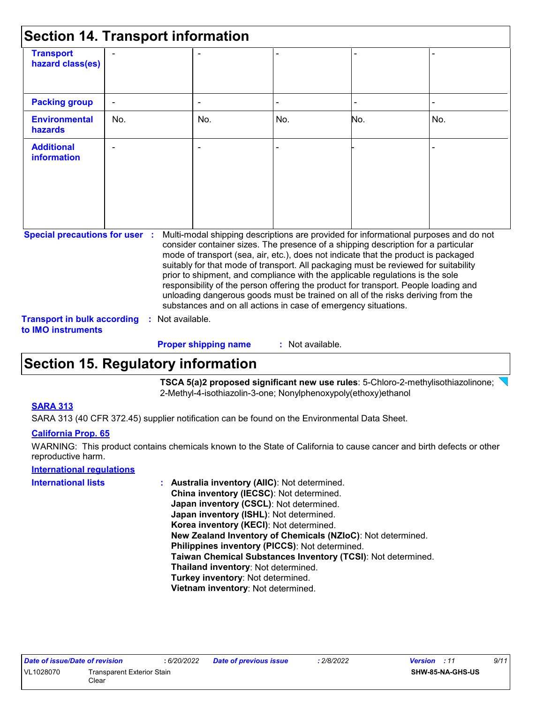| <b>Section 14. Transport information</b>                                                                 |                |                |                                                                |                    |                                                                                                                                                                                                                                                                                                                                                                                                                                                                                                                                                                                                                   |     |
|----------------------------------------------------------------------------------------------------------|----------------|----------------|----------------------------------------------------------------|--------------------|-------------------------------------------------------------------------------------------------------------------------------------------------------------------------------------------------------------------------------------------------------------------------------------------------------------------------------------------------------------------------------------------------------------------------------------------------------------------------------------------------------------------------------------------------------------------------------------------------------------------|-----|
| <b>Transport</b><br>hazard class(es)                                                                     |                |                |                                                                |                    |                                                                                                                                                                                                                                                                                                                                                                                                                                                                                                                                                                                                                   |     |
| <b>Packing group</b>                                                                                     | $\blacksquare$ |                |                                                                |                    |                                                                                                                                                                                                                                                                                                                                                                                                                                                                                                                                                                                                                   |     |
| <b>Environmental</b><br>hazards                                                                          | No.            |                | No.                                                            | No.                | No.                                                                                                                                                                                                                                                                                                                                                                                                                                                                                                                                                                                                               | No. |
| <b>Additional</b><br><b>information</b>                                                                  |                |                |                                                                |                    |                                                                                                                                                                                                                                                                                                                                                                                                                                                                                                                                                                                                                   |     |
| <b>Special precautions for user :</b><br><b>Transport in bulk according</b><br>to <b>IMO</b> instruments |                | Not available. | substances and on all actions in case of emergency situations. |                    | Multi-modal shipping descriptions are provided for informational purposes and do not<br>consider container sizes. The presence of a shipping description for a particular<br>mode of transport (sea, air, etc.), does not indicate that the product is packaged<br>suitably for that mode of transport. All packaging must be reviewed for suitability<br>prior to shipment, and compliance with the applicable regulations is the sole<br>responsibility of the person offering the product for transport. People loading and<br>unloading dangerous goods must be trained on all of the risks deriving from the |     |
|                                                                                                          |                |                | <b>Proper shipping name</b>                                    | $:$ Not available. |                                                                                                                                                                                                                                                                                                                                                                                                                                                                                                                                                                                                                   |     |

### **Section 15. Regulatory information**

**TSCA 5(a)2 proposed significant new use rules**: 5-Chloro-2-methylisothiazolinone; 2-Methyl-4-isothiazolin-3-one; Nonylphenoxypoly(ethoxy)ethanol

#### **SARA 313**

SARA 313 (40 CFR 372.45) supplier notification can be found on the Environmental Data Sheet.

#### **California Prop. 65**

WARNING: This product contains chemicals known to the State of California to cause cancer and birth defects or other reproductive harm.

| <b>International regulations</b> |                                                              |
|----------------------------------|--------------------------------------------------------------|
| <b>International lists</b>       | : Australia inventory (AIIC): Not determined.                |
|                                  | China inventory (IECSC): Not determined.                     |
|                                  | Japan inventory (CSCL): Not determined.                      |
|                                  | Japan inventory (ISHL): Not determined.                      |
|                                  | Korea inventory (KECI): Not determined.                      |
|                                  | New Zealand Inventory of Chemicals (NZIoC): Not determined.  |
|                                  | Philippines inventory (PICCS): Not determined.               |
|                                  | Taiwan Chemical Substances Inventory (TCSI): Not determined. |
|                                  | Thailand inventory: Not determined.                          |
|                                  | Turkey inventory: Not determined.                            |
|                                  | Vietnam inventory: Not determined.                           |
|                                  |                                                              |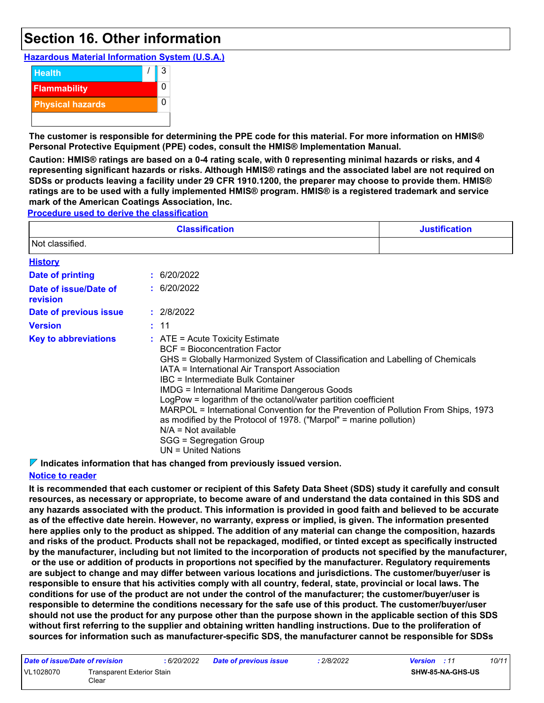### **Section 16. Other information**

**Hazardous Material Information System (U.S.A.)**



**The customer is responsible for determining the PPE code for this material. For more information on HMIS® Personal Protective Equipment (PPE) codes, consult the HMIS® Implementation Manual.**

**Caution: HMIS® ratings are based on a 0-4 rating scale, with 0 representing minimal hazards or risks, and 4 representing significant hazards or risks. Although HMIS® ratings and the associated label are not required on SDSs or products leaving a facility under 29 CFR 1910.1200, the preparer may choose to provide them. HMIS® ratings are to be used with a fully implemented HMIS® program. HMIS® is a registered trademark and service mark of the American Coatings Association, Inc.**

**Procedure used to derive the classification**

|                                   | <b>Justification</b>                                                                                                                                                                                                                                                                                                                                                                                                                                                                                                                                                                                         |  |
|-----------------------------------|--------------------------------------------------------------------------------------------------------------------------------------------------------------------------------------------------------------------------------------------------------------------------------------------------------------------------------------------------------------------------------------------------------------------------------------------------------------------------------------------------------------------------------------------------------------------------------------------------------------|--|
| Not classified.                   |                                                                                                                                                                                                                                                                                                                                                                                                                                                                                                                                                                                                              |  |
| <b>History</b>                    |                                                                                                                                                                                                                                                                                                                                                                                                                                                                                                                                                                                                              |  |
| <b>Date of printing</b>           | : 6/20/2022                                                                                                                                                                                                                                                                                                                                                                                                                                                                                                                                                                                                  |  |
| Date of issue/Date of<br>revision | : 6/20/2022                                                                                                                                                                                                                                                                                                                                                                                                                                                                                                                                                                                                  |  |
| Date of previous issue            | : 2/8/2022                                                                                                                                                                                                                                                                                                                                                                                                                                                                                                                                                                                                   |  |
| <b>Version</b>                    | : 11                                                                                                                                                                                                                                                                                                                                                                                                                                                                                                                                                                                                         |  |
| <b>Key to abbreviations</b>       | $:$ ATE = Acute Toxicity Estimate<br>BCF = Bioconcentration Factor<br>GHS = Globally Harmonized System of Classification and Labelling of Chemicals<br>IATA = International Air Transport Association<br>IBC = Intermediate Bulk Container<br><b>IMDG = International Maritime Dangerous Goods</b><br>LogPow = logarithm of the octanol/water partition coefficient<br>MARPOL = International Convention for the Prevention of Pollution From Ships, 1973<br>as modified by the Protocol of 1978. ("Marpol" = marine pollution)<br>$N/A = Not available$<br>SGG = Segregation Group<br>$UN = United Nations$ |  |

**Indicates information that has changed from previously issued version.**

#### **Notice to reader**

**It is recommended that each customer or recipient of this Safety Data Sheet (SDS) study it carefully and consult resources, as necessary or appropriate, to become aware of and understand the data contained in this SDS and any hazards associated with the product. This information is provided in good faith and believed to be accurate as of the effective date herein. However, no warranty, express or implied, is given. The information presented here applies only to the product as shipped. The addition of any material can change the composition, hazards and risks of the product. Products shall not be repackaged, modified, or tinted except as specifically instructed by the manufacturer, including but not limited to the incorporation of products not specified by the manufacturer, or the use or addition of products in proportions not specified by the manufacturer. Regulatory requirements are subject to change and may differ between various locations and jurisdictions. The customer/buyer/user is responsible to ensure that his activities comply with all country, federal, state, provincial or local laws. The conditions for use of the product are not under the control of the manufacturer; the customer/buyer/user is responsible to determine the conditions necessary for the safe use of this product. The customer/buyer/user should not use the product for any purpose other than the purpose shown in the applicable section of this SDS without first referring to the supplier and obtaining written handling instructions. Due to the proliferation of sources for information such as manufacturer-specific SDS, the manufacturer cannot be responsible for SDSs** 

| Date of issue/Date of revision |                                     | : 6/20/2022 | <b>Date of previous issue</b> | 2/8/2022 | <b>Version</b> : 11 |                  | 10/11 |
|--------------------------------|-------------------------------------|-------------|-------------------------------|----------|---------------------|------------------|-------|
| VL1028070                      | Transparent Exterior Stain<br>Clear |             |                               |          |                     | SHW-85-NA-GHS-US |       |